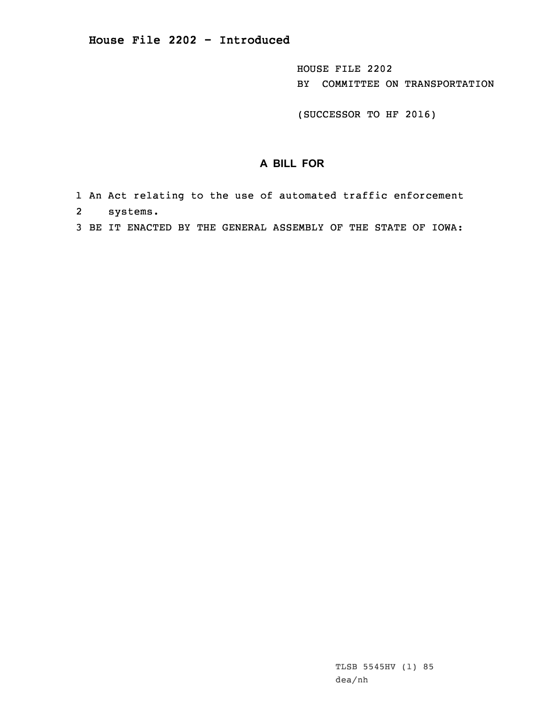HOUSE FILE 2202 BY COMMITTEE ON TRANSPORTATION

(SUCCESSOR TO HF 2016)

## **A BILL FOR**

- 1 An Act relating to the use of automated traffic enforcement 2 systems.
- 3 BE IT ENACTED BY THE GENERAL ASSEMBLY OF THE STATE OF IOWA: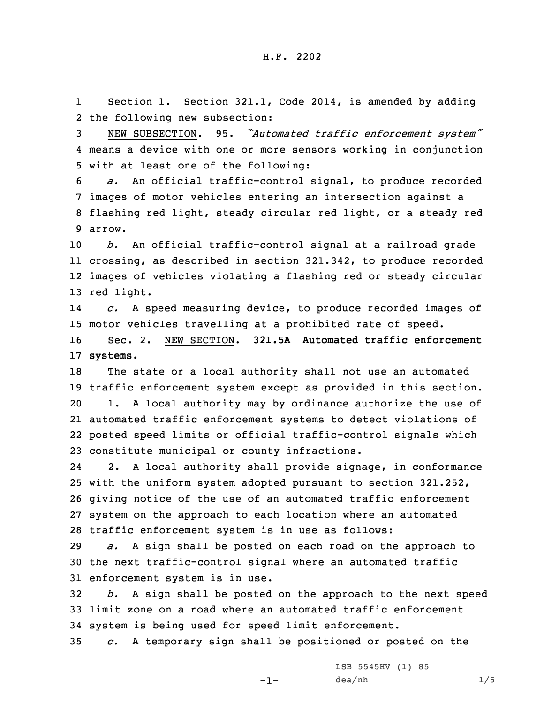1 Section 1. Section 321.1, Code 2014, is amended by adding 2 the following new subsection:

<sup>3</sup> NEW SUBSECTION. 95. *"Automated traffic enforcement system"* 4 means <sup>a</sup> device with one or more sensors working in conjunction 5 with at least one of the following:

 *a.* An official traffic-control signal, to produce recorded images of motor vehicles entering an intersection against <sup>a</sup> flashing red light, steady circular red light, or <sup>a</sup> steady red 9 arrow.

 *b.* An official traffic-control signal at <sup>a</sup> railroad grade crossing, as described in section 321.342, to produce recorded images of vehicles violating <sup>a</sup> flashing red or steady circular red light.

14 *c.* <sup>A</sup> speed measuring device, to produce recorded images of 15 motor vehicles travelling at <sup>a</sup> prohibited rate of speed.

16 Sec. 2. NEW SECTION. **321.5A Automated traffic enforcement** 17 **systems.**

 The state or <sup>a</sup> local authority shall not use an automated traffic enforcement system except as provided in this section. 1. <sup>A</sup> local authority may by ordinance authorize the use of automated traffic enforcement systems to detect violations of posted speed limits or official traffic-control signals which constitute municipal or county infractions.

24 2. <sup>A</sup> local authority shall provide signage, in conformance with the uniform system adopted pursuant to section 321.252, giving notice of the use of an automated traffic enforcement system on the approach to each location where an automated traffic enforcement system is in use as follows:

29 *a.* <sup>A</sup> sign shall be posted on each road on the approach to 30 the next traffic-control signal where an automated traffic 31 enforcement system is in use.

32 *b.* <sup>A</sup> sign shall be posted on the approach to the next speed 33 limit zone on <sup>a</sup> road where an automated traffic enforcement 34 system is being used for speed limit enforcement.

35 *c.* <sup>A</sup> temporary sign shall be positioned or posted on the

-1-

LSB 5545HV (1) 85 dea/nh 1/5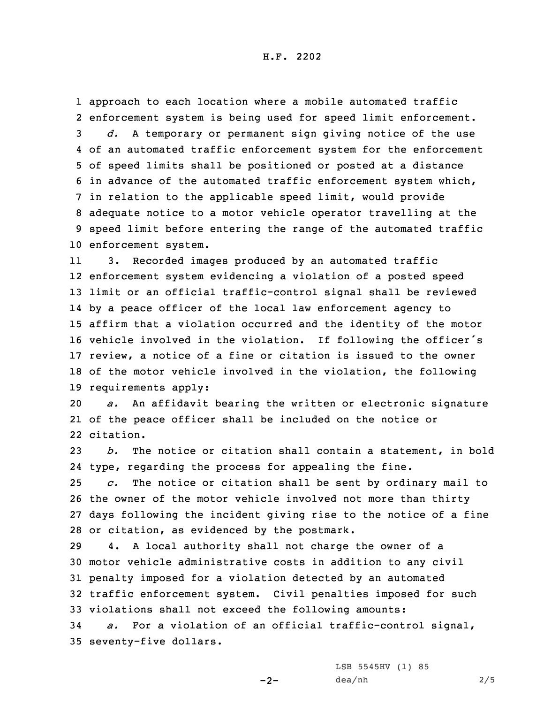H.F. 2202

 approach to each location where <sup>a</sup> mobile automated traffic enforcement system is being used for speed limit enforcement. *d.* <sup>A</sup> temporary or permanent sign giving notice of the use of an automated traffic enforcement system for the enforcement of speed limits shall be positioned or posted at <sup>a</sup> distance in advance of the automated traffic enforcement system which, in relation to the applicable speed limit, would provide adequate notice to <sup>a</sup> motor vehicle operator travelling at the speed limit before entering the range of the automated traffic enforcement system.

11 3. Recorded images produced by an automated traffic enforcement system evidencing <sup>a</sup> violation of <sup>a</sup> posted speed limit or an official traffic-control signal shall be reviewed by <sup>a</sup> peace officer of the local law enforcement agency to affirm that <sup>a</sup> violation occurred and the identity of the motor vehicle involved in the violation. If following the officer's review, <sup>a</sup> notice of <sup>a</sup> fine or citation is issued to the owner of the motor vehicle involved in the violation, the following requirements apply:

20 *a.* An affidavit bearing the written or electronic signature 21 of the peace officer shall be included on the notice or 22 citation.

23 *b.* The notice or citation shall contain <sup>a</sup> statement, in bold 24 type, regarding the process for appealing the fine.

 *c.* The notice or citation shall be sent by ordinary mail to the owner of the motor vehicle involved not more than thirty days following the incident giving rise to the notice of <sup>a</sup> fine or citation, as evidenced by the postmark.

 4. <sup>A</sup> local authority shall not charge the owner of <sup>a</sup> motor vehicle administrative costs in addition to any civil penalty imposed for <sup>a</sup> violation detected by an automated traffic enforcement system. Civil penalties imposed for such violations shall not exceed the following amounts:

34 *a.* For <sup>a</sup> violation of an official traffic-control signal, 35 seventy-five dollars.

 $-2-$ 

LSB 5545HV (1) 85 dea/nh 2/5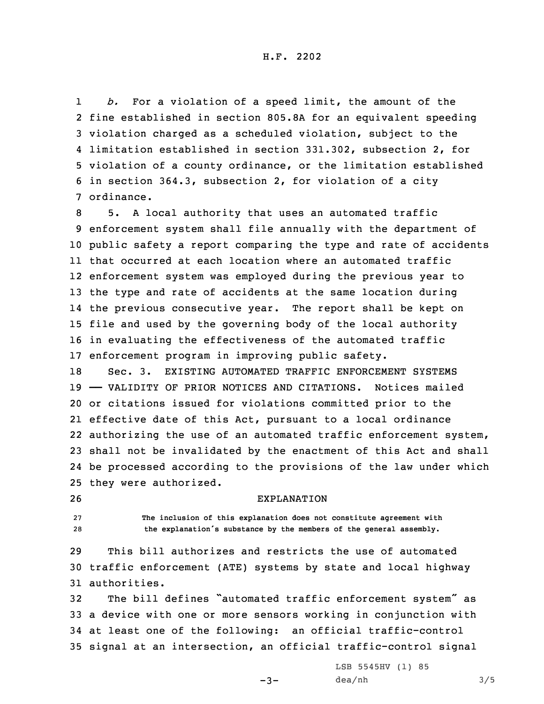1 *b.* For <sup>a</sup> violation of <sup>a</sup> speed limit, the amount of the fine established in section 805.8A for an equivalent speeding violation charged as <sup>a</sup> scheduled violation, subject to the limitation established in section 331.302, subsection 2, for violation of <sup>a</sup> county ordinance, or the limitation established in section 364.3, subsection 2, for violation of <sup>a</sup> city ordinance.

 5. <sup>A</sup> local authority that uses an automated traffic enforcement system shall file annually with the department of public safety <sup>a</sup> report comparing the type and rate of accidents that occurred at each location where an automated traffic enforcement system was employed during the previous year to the type and rate of accidents at the same location during the previous consecutive year. The report shall be kept on file and used by the governing body of the local authority in evaluating the effectiveness of the automated traffic enforcement program in improving public safety.

 Sec. 3. EXISTING AUTOMATED TRAFFIC ENFORCEMENT SYSTEMS —— VALIDITY OF PRIOR NOTICES AND CITATIONS. Notices mailed or citations issued for violations committed prior to the effective date of this Act, pursuant to <sup>a</sup> local ordinance authorizing the use of an automated traffic enforcement system, shall not be invalidated by the enactment of this Act and shall be processed according to the provisions of the law under which they were authorized.

## 26 EXPLANATION

27 **The inclusion of this explanation does not constitute agreement with** <sup>28</sup> **the explanation's substance by the members of the general assembly.**

29 This bill authorizes and restricts the use of automated 30 traffic enforcement (ATE) systems by state and local highway 31 authorities.

 The bill defines "automated traffic enforcement system" as <sup>a</sup> device with one or more sensors working in conjunction with at least one of the following: an official traffic-control signal at an intersection, an official traffic-control signal

 $-3-$ 

LSB 5545HV (1) 85  $dea/nh$  3/5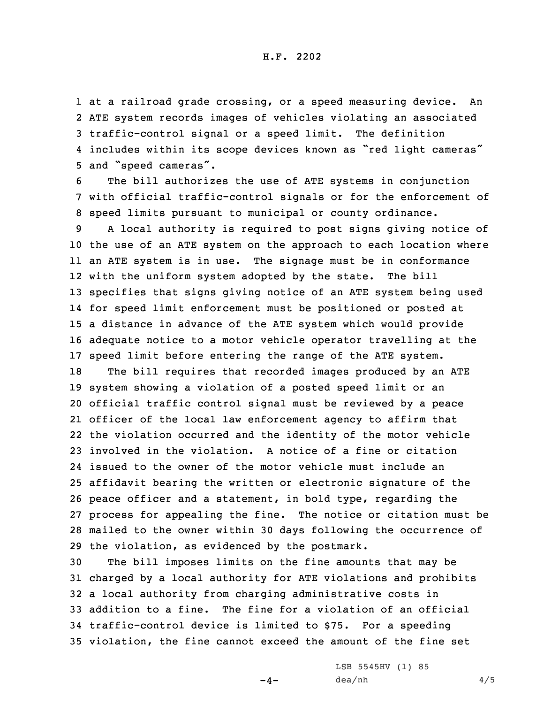H.F. 2202

 at <sup>a</sup> railroad grade crossing, or <sup>a</sup> speed measuring device. An ATE system records images of vehicles violating an associated traffic-control signal or <sup>a</sup> speed limit. The definition includes within its scope devices known as "red light cameras" and "speed cameras".

6 The bill authorizes the use of ATE systems in conjunction 7 with official traffic-control signals or for the enforcement of 8 speed limits pursuant to municipal or county ordinance.

 <sup>A</sup> local authority is required to post signs giving notice of the use of an ATE system on the approach to each location where an ATE system is in use. The signage must be in conformance with the uniform system adopted by the state. The bill specifies that signs giving notice of an ATE system being used for speed limit enforcement must be positioned or posted at <sup>a</sup> distance in advance of the ATE system which would provide adequate notice to <sup>a</sup> motor vehicle operator travelling at the speed limit before entering the range of the ATE system.

 The bill requires that recorded images produced by an ATE system showing <sup>a</sup> violation of <sup>a</sup> posted speed limit or an official traffic control signal must be reviewed by <sup>a</sup> peace officer of the local law enforcement agency to affirm that the violation occurred and the identity of the motor vehicle involved in the violation. A notice of <sup>a</sup> fine or citation issued to the owner of the motor vehicle must include an affidavit bearing the written or electronic signature of the peace officer and <sup>a</sup> statement, in bold type, regarding the process for appealing the fine. The notice or citation must be mailed to the owner within 30 days following the occurrence of the violation, as evidenced by the postmark.

 The bill imposes limits on the fine amounts that may be charged by <sup>a</sup> local authority for ATE violations and prohibits <sup>a</sup> local authority from charging administrative costs in addition to <sup>a</sup> fine. The fine for <sup>a</sup> violation of an official traffic-control device is limited to \$75. For <sup>a</sup> speeding violation, the fine cannot exceed the amount of the fine set

 $-4-$ 

LSB 5545HV (1) 85  $dea/nh$  4/5